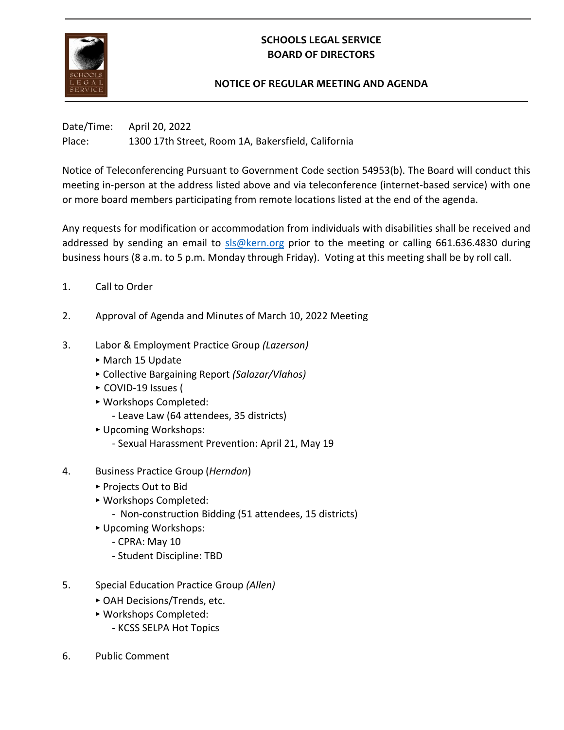

## **SCHOOLS LEGAL SERVICE BOARD OF DIRECTORS**

## **NOTICE OF REGULAR MEETING AND AGENDA**

Date/Time: April 20, 2022 Place: 1300 17th Street, Room 1A, Bakersfield, California

Notice of Teleconferencing Pursuant to Government Code section 54953(b). The Board will conduct this meeting in-person at the address listed above and via teleconference (internet-based service) with one or more board members participating from remote locations listed at the end of the agenda.

Any requests for modification or accommodation from individuals with disabilities shall be received and addressed by sending an email to [sls@kern.org](mailto:sls@kern.org) prior to the meeting or calling 661.636.4830 during business hours (8 a.m. to 5 p.m. Monday through Friday). Voting at this meeting shall be by roll call.

- 1. Call to Order
- 2. Approval of Agenda and Minutes of March 10, 2022 Meeting
- 3. Labor & Employment Practice Group *(Lazerson)*
	- ‣ March 15 Update
	- ‣ Collective Bargaining Report *(Salazar/Vlahos)*
	- ‣ COVID-19 Issues (
	- ‣ Workshops Completed:
		- Leave Law (64 attendees, 35 districts)
	- ‣ Upcoming Workshops:
		- Sexual Harassment Prevention: April 21, May 19
- 4. Business Practice Group (*Herndon*)
	- ‣ Projects Out to Bid
	- ‣ Workshops Completed:
		- Non-construction Bidding (51 attendees, 15 districts)
	- ‣ Upcoming Workshops:
		- CPRA: May 10
		- Student Discipline: TBD
- 5. Special Education Practice Group *(Allen)*
	- ‣ OAH Decisions/Trends, etc.
	- ‣ Workshops Completed:
		- KCSS SELPA Hot Topics
- 6. Public Comment